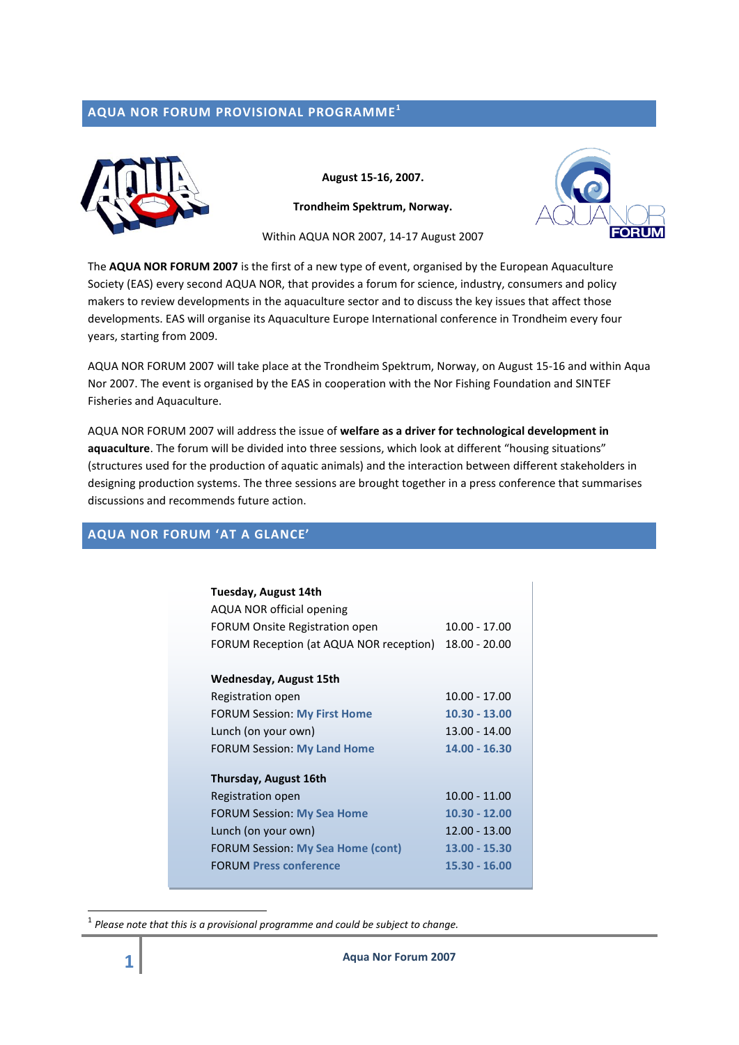# **AQUA NOR FORUM PROVISIONAL PROGRAMME 1**



**August 15-16, 2007.** 

**Trondheim Spektrum, Norway.**



Within AQUA NOR 2007, 14-17 August 2007

The **AQUA NOR FORUM 2007** is the first of a new type of event, organised by the European Aquaculture Society (EAS) every second AQUA NOR, that provides a forum for science, industry, consumers and policy makers to review developments in the aquaculture sector and to discuss the key issues that affect those developments. EAS will organise its Aquaculture Europe International conference in Trondheim every four years, starting from 2009.

AQUA NOR FORUM 2007 will take place at the Trondheim Spektrum, Norway, on August 15-16 and within Aqua Nor 2007. The event is organised by the EAS in cooperation with the Nor Fishing Foundation and SINTEF Fisheries and Aquaculture.

AQUA NOR FORUM 2007 will address the issue of **welfare as a driver for technological development in aquaculture**. The forum will be divided into three sessions, which look at different "housing situations" (structures used for the production of aquatic animals) and the interaction between different stakeholders in designing production systems. The three sessions are brought together in a press conference that summarises discussions and recommends future action.

# **AQUA NOR FORUM 'AT A GLANCE'**

| Tuesday, August 14th<br>AQUA NOR official opening<br>FORUM Onsite Registration open<br>FORUM Reception (at AQUA NOR reception) | $10.00 - 17.00$<br>$18.00 - 20.00$ |
|--------------------------------------------------------------------------------------------------------------------------------|------------------------------------|
| Wednesday, August 15th                                                                                                         |                                    |
| Registration open                                                                                                              | $10.00 - 17.00$                    |
| <b>FORUM Session: My First Home</b>                                                                                            | $10.30 - 13.00$                    |
| Lunch (on your own)                                                                                                            | $13.00 - 14.00$                    |
| <b>FORUM Session: My Land Home</b>                                                                                             | 14.00 - 16.30                      |
| Thursday, August 16th<br>Registration open                                                                                     | $10.00 - 11.00$                    |
| <b>FORUM Session: My Sea Home</b>                                                                                              | 10.30 - 12.00                      |
| Lunch (on your own)                                                                                                            | 12.00 - 13.00                      |
| <b>FORUM Session: My Sea Home (cont)</b>                                                                                       | 13.00 - 15.30                      |
| <b>FORUM Press conference</b>                                                                                                  | 15.30 - 16.00                      |

 $^{\rm 1}$  Please note that this is a provisional programme and could be subject to change.

**.**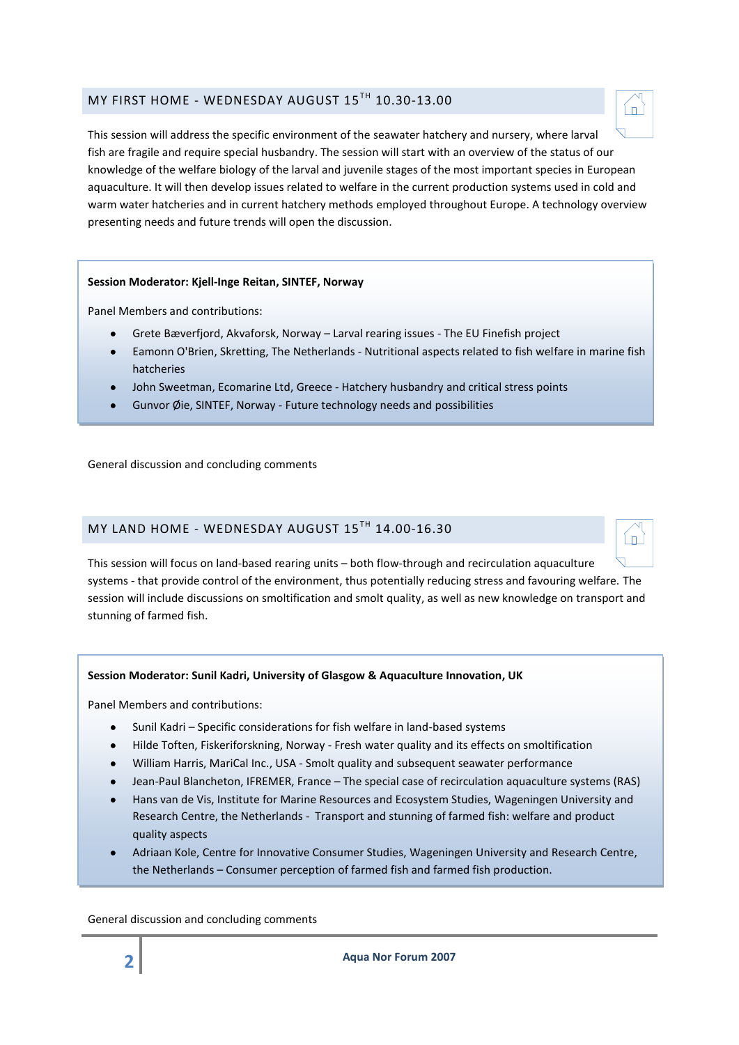# MY FIRST HOME - WEDNESDAY AUGUST 15<sup>TH</sup> 10.30-13.00

This session will address the specific environment of the seawater hatchery and nursery, where larval fish are fragile and require special husbandry. The session will start with an overview of the status of our knowledge of the welfare biology of the larval and juvenile stages of the most important species in European aquaculture. It will then develop issues related to welfare in the current production systems used in cold and warm water hatcheries and in current hatchery methods employed throughout Europe. A technology overview presenting needs and future trends will open the discussion.

#### **Session Moderator: Kjell-Inge Reitan, SINTEF, Norway**

Panel Members and contributions:

- Grete Bæverfjord, Akvaforsk, Norway Larval rearing issues The EU Finefish project
- Eamonn O'Brien, Skretting, The Netherlands Nutritional aspects related to fish welfare in marine fish hatcheries
- John Sweetman, Ecomarine Ltd, Greece Hatchery husbandry and critical stress points
- Gunvor Øie, SINTEF, Norway Future technology needs and possibilities

General discussion and concluding comments

# MY LAND HOME - WEDNESDAY AUGUST 15TH 14.00-16.30

This session will focus on land-based rearing units – both flow-through and recirculation aquaculture systems - that provide control of the environment, thus potentially reducing stress and favouring welfare. The session will include discussions on smoltification and smolt quality, as well as new knowledge on transport and stunning of farmed fish.

#### **Session Moderator: Sunil Kadri, University of Glasgow & Aquaculture Innovation, UK**

Panel Members and contributions:

- $\bullet$ Sunil Kadri – Specific considerations for fish welfare in land-based systems
- Hilde Toften, Fiskeriforskning, Norway Fresh water quality and its effects on smoltification
- William Harris, MariCal Inc., USA Smolt quality and subsequent seawater performance
- Jean-Paul Blancheton, IFREMER, France The special case of recirculation aquaculture systems (RAS)
- Hans van de Vis, Institute for Marine Resources and Ecosystem Studies, Wageningen University and Research Centre, the Netherlands - Transport and stunning of farmed fish: welfare and product quality aspects
- Adriaan Kole, Centre for Innovative Consumer Studies, Wageningen University and Research Centre, the Netherlands – Consumer perception of farmed fish and farmed fish production.

General discussion and concluding comments

Íп



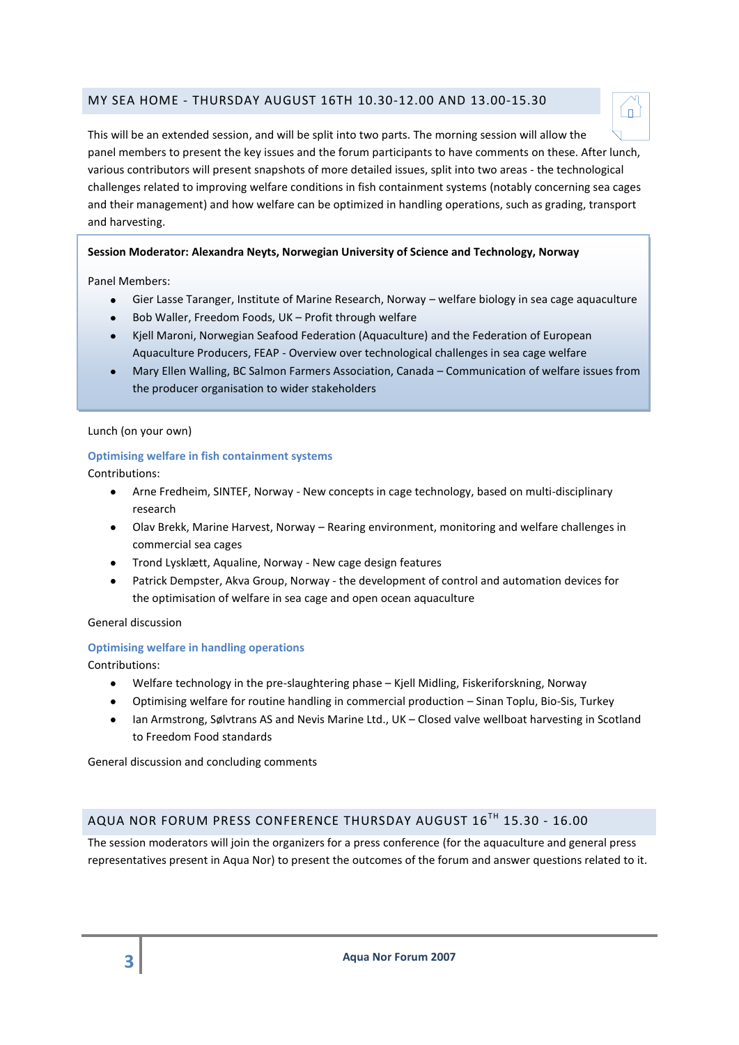# MY SEA HOME - THURSDAY AUGUST 16TH 10.30-12.00 AND 13.00-15.30



This will be an extended session, and will be split into two parts. The morning session will allow the panel members to present the key issues and the forum participants to have comments on these. After lunch, various contributors will present snapshots of more detailed issues, split into two areas - the technological challenges related to improving welfare conditions in fish containment systems (notably concerning sea cages and their management) and how welfare can be optimized in handling operations, such as grading, transport and harvesting.

### **Session Moderator: Alexandra Neyts, Norwegian University of Science and Technology, Norway**

Panel Members:

- Gier Lasse Taranger, Institute of Marine Research, Norway welfare biology in sea cage aquaculture
- Bob Waller, Freedom Foods, UK Profit through welfare
- Kjell Maroni, Norwegian Seafood Federation (Aquaculture) and the Federation of European Aquaculture Producers, FEAP - Overview over technological challenges in sea cage welfare
- Mary Ellen Walling, BC Salmon Farmers Association, Canada Communication of welfare issues from the producer organisation to wider stakeholders

#### Lunch (on your own)

#### **Optimising welfare in fish containment systems**

Contributions:

- Arne Fredheim, SINTEF, Norway New concepts in cage technology, based on multi-disciplinary research
- Olav Brekk, Marine Harvest, Norway Rearing environment, monitoring and welfare challenges in commercial sea cages
- Trond Lysklætt, Aqualine, Norway New cage design features
- Patrick Dempster, Akva Group, Norway the development of control and automation devices for  $\bullet$ the optimisation of welfare in sea cage and open ocean aquaculture

#### General discussion

#### **Optimising welfare in handling operations**

Contributions:

- Welfare technology in the pre-slaughtering phase Kjell Midling, Fiskeriforskning, Norway
- Optimising welfare for routine handling in commercial production Sinan Toplu, Bio-Sis, Turkey
- Ian Armstrong, Sølvtrans AS and Nevis Marine Ltd., UK Closed valve wellboat harvesting in Scotland  $\bullet$ to Freedom Food standards

General discussion and concluding comments

# AQUA NOR FORUM PRESS CONFERENCE THURSDAY AUGUST 16TH 15.30 - 16.00

The session moderators will join the organizers for a press conference (for the aquaculture and general press representatives present in Aqua Nor) to present the outcomes of the forum and answer questions related to it.